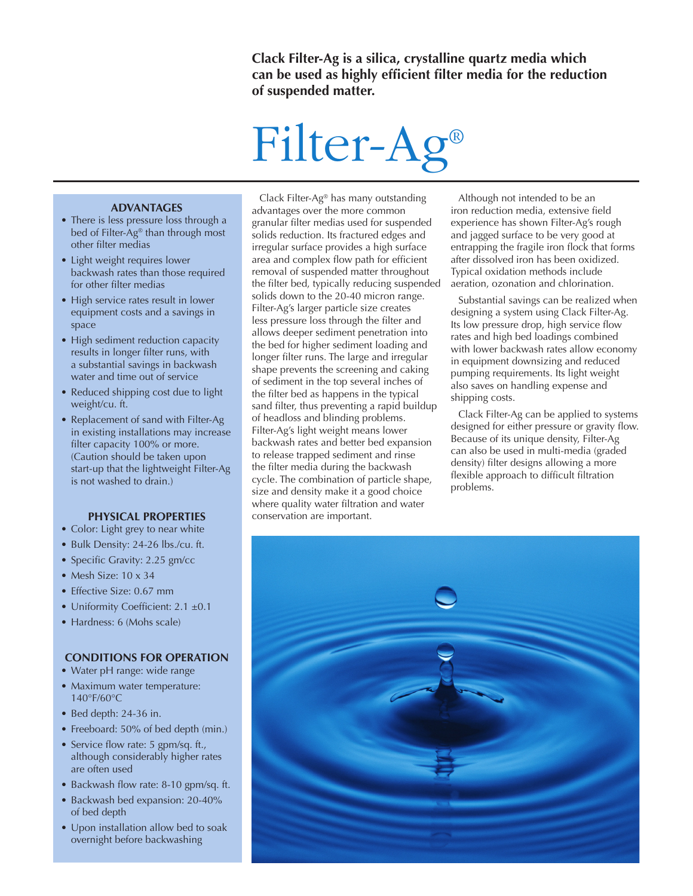**Clack Filter-Ag is a silica, crystalline quartz media which can be used as highly efficient filter media for the reduction of suspended matter.**

# Filter-Ag®

#### **ADVANTAGES**

- There is less pressure loss through a bed of Filter-Ag® than through most other filter medias
- Light weight requires lower backwash rates than those required for other filter medias
- High service rates result in lower equipment costs and a savings in space
- High sediment reduction capacity results in longer filter runs, with a substantial savings in backwash water and time out of service
- Reduced shipping cost due to light weight/cu. ft.
- Replacement of sand with Filter-Ag in existing installations may increase filter capacity 100% or more. (Caution should be taken upon start-up that the lightweight Filter-Ag is not washed to drain.)

#### **PHYSICAL PROPERTIES**

- Color: Light grey to near white
- Bulk Density: 24-26 lbs./cu. ft.
- Specific Gravity: 2.25 gm/cc
- Mesh Size: 10 x 34
- Effective Size: 0.67 mm
- Uniformity Coefficient: 2.1 ±0.1
- Hardness: 6 (Mohs scale)

#### **CONDITIONS FOR OPERATION**

- Water pH range: wide range
- Maximum water temperature: 140°F/60°C
- Bed depth: 24-36 in.
- Freeboard: 50% of bed depth (min.)
- Service flow rate: 5 gpm/sq. ft., although considerably higher rates are often used
- Backwash flow rate: 8-10 gpm/sq. ft.
- Backwash bed expansion: 20-40%
- of bed depth • Upon installation allow bed to soak overnight before backwashing

Clack Filter-Ag® has many outstanding advantages over the more common granular filter medias used for suspended solids reduction. Its fractured edges and irregular surface provides a high surface area and complex flow path for efficient removal of suspended matter throughout the filter bed, typically reducing suspended solids down to the 20-40 micron range. Filter-Ag's larger particle size creates less pressure loss through the filter and allows deeper sediment penetration into the bed for higher sediment loading and longer filter runs. The large and irregular shape prevents the screening and caking of sediment in the top several inches of the filter bed as happens in the typical sand filter, thus preventing a rapid buildup of headloss and blinding problems. Filter-Ag's light weight means lower backwash rates and better bed expansion to release trapped sediment and rinse the filter media during the backwash cycle. The combination of particle shape, size and density make it a good choice where quality water filtration and water conservation are important.

Although not intended to be an iron reduction media, extensive field experience has shown Filter-Ag's rough and jagged surface to be very good at entrapping the fragile iron flock that forms after dissolved iron has been oxidized. Typical oxidation methods include aeration, ozonation and chlorination.

Substantial savings can be realized when designing a system using Clack Filter-Ag. Its low pressure drop, high service flow rates and high bed loadings combined with lower backwash rates allow economy in equipment downsizing and reduced pumping requirements. Its light weight also saves on handling expense and shipping costs.

Clack Filter-Ag can be applied to systems designed for either pressure or gravity flow. Because of its unique density, Filter-Ag can also be used in multi-media (graded density) filter designs allowing a more flexible approach to difficult filtration problems.